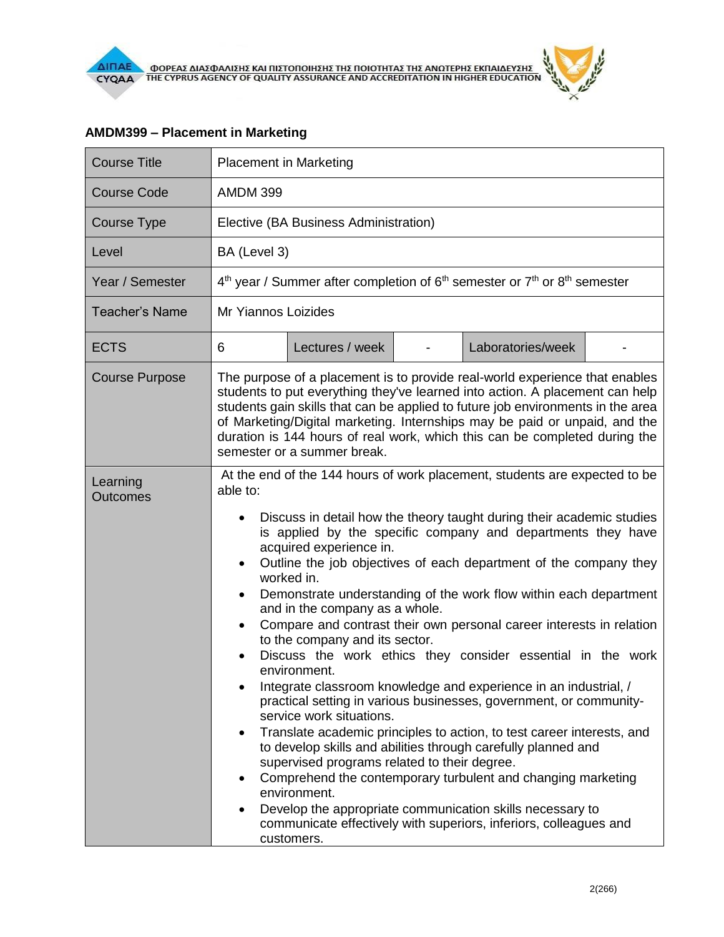| THE CYPRUS AGENCY OF QUALITY |  |
|------------------------------|--|
|                              |  |
|                              |  |
|                              |  |

| <b>Course Title</b>         | <b>Placement in Marketing</b>                                                                                                                                                                                                                                                                                                                                                                                                                                                                                                                                                                                                                                                                                                                                                                                                                                                                                                                                                                                                                                                                                                                                                                                                                                                      |  |  |  |  |  |
|-----------------------------|------------------------------------------------------------------------------------------------------------------------------------------------------------------------------------------------------------------------------------------------------------------------------------------------------------------------------------------------------------------------------------------------------------------------------------------------------------------------------------------------------------------------------------------------------------------------------------------------------------------------------------------------------------------------------------------------------------------------------------------------------------------------------------------------------------------------------------------------------------------------------------------------------------------------------------------------------------------------------------------------------------------------------------------------------------------------------------------------------------------------------------------------------------------------------------------------------------------------------------------------------------------------------------|--|--|--|--|--|
| Course Code                 | <b>AMDM 399</b>                                                                                                                                                                                                                                                                                                                                                                                                                                                                                                                                                                                                                                                                                                                                                                                                                                                                                                                                                                                                                                                                                                                                                                                                                                                                    |  |  |  |  |  |
| Course Type                 | Elective (BA Business Administration)                                                                                                                                                                                                                                                                                                                                                                                                                                                                                                                                                                                                                                                                                                                                                                                                                                                                                                                                                                                                                                                                                                                                                                                                                                              |  |  |  |  |  |
| Level                       | BA (Level 3)                                                                                                                                                                                                                                                                                                                                                                                                                                                                                                                                                                                                                                                                                                                                                                                                                                                                                                                                                                                                                                                                                                                                                                                                                                                                       |  |  |  |  |  |
| Year / Semester             | $4th$ year / Summer after completion of $6th$ semester or $7th$ or $8th$ semester                                                                                                                                                                                                                                                                                                                                                                                                                                                                                                                                                                                                                                                                                                                                                                                                                                                                                                                                                                                                                                                                                                                                                                                                  |  |  |  |  |  |
| Teacher's Name              | Mr Yiannos Loizides                                                                                                                                                                                                                                                                                                                                                                                                                                                                                                                                                                                                                                                                                                                                                                                                                                                                                                                                                                                                                                                                                                                                                                                                                                                                |  |  |  |  |  |
| <b>ECTS</b>                 | Laboratories/week<br>6<br>Lectures / week                                                                                                                                                                                                                                                                                                                                                                                                                                                                                                                                                                                                                                                                                                                                                                                                                                                                                                                                                                                                                                                                                                                                                                                                                                          |  |  |  |  |  |
| <b>Course Purpose</b>       | The purpose of a placement is to provide real-world experience that enables<br>students to put everything they've learned into action. A placement can help<br>students gain skills that can be applied to future job environments in the area<br>of Marketing/Digital marketing. Internships may be paid or unpaid, and the<br>duration is 144 hours of real work, which this can be completed during the<br>semester or a summer break.                                                                                                                                                                                                                                                                                                                                                                                                                                                                                                                                                                                                                                                                                                                                                                                                                                          |  |  |  |  |  |
| Learning<br><b>Outcomes</b> | At the end of the 144 hours of work placement, students are expected to be<br>able to:<br>Discuss in detail how the theory taught during their academic studies<br>is applied by the specific company and departments they have<br>acquired experience in.<br>Outline the job objectives of each department of the company they<br>$\bullet$<br>worked in.<br>Demonstrate understanding of the work flow within each department<br>and in the company as a whole.<br>Compare and contrast their own personal career interests in relation<br>$\bullet$<br>to the company and its sector.<br>Discuss the work ethics they consider essential in the work<br>environment.<br>Integrate classroom knowledge and experience in an industrial, /<br>practical setting in various businesses, government, or community-<br>service work situations.<br>Translate academic principles to action, to test career interests, and<br>٠<br>to develop skills and abilities through carefully planned and<br>supervised programs related to their degree.<br>Comprehend the contemporary turbulent and changing marketing<br>environment.<br>Develop the appropriate communication skills necessary to<br>٠<br>communicate effectively with superiors, inferiors, colleagues and<br>customers. |  |  |  |  |  |

## **AMDM399 – Placement in Marketing**

 $\tilde{r}$  $\theta$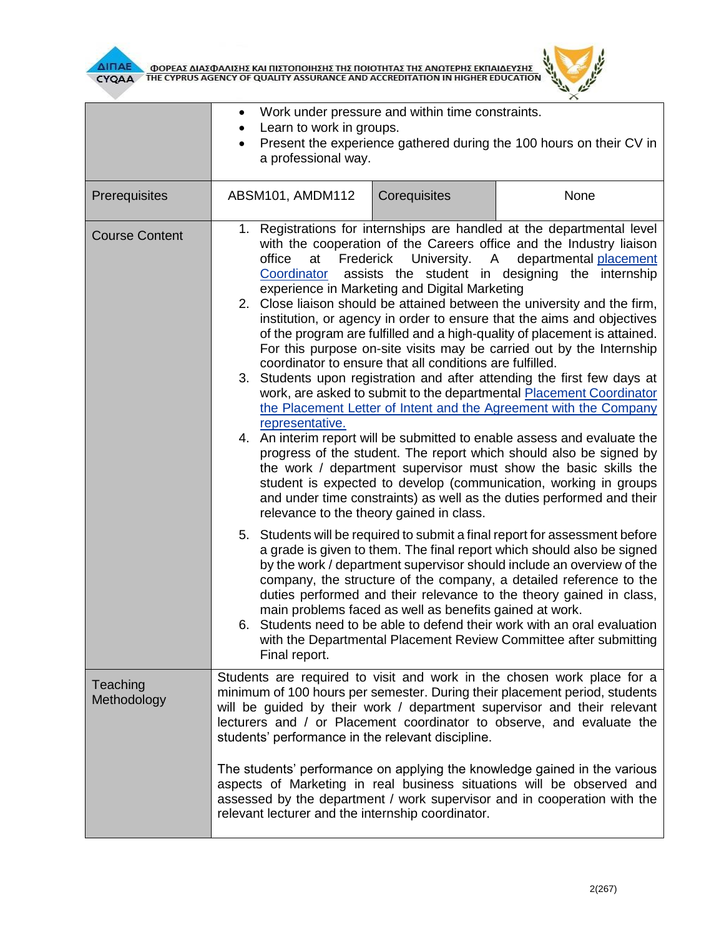



|                         | Work under pressure and within time constraints.<br>$\bullet$                                                                                                                                                                                                                                                                                                                                                        |                                                                                                                                                                                                                                                                                                                                                                                                         |                                                                                                                                                                                                                                                                                                                                                                                                                                                                                                                              |  |  |
|-------------------------|----------------------------------------------------------------------------------------------------------------------------------------------------------------------------------------------------------------------------------------------------------------------------------------------------------------------------------------------------------------------------------------------------------------------|---------------------------------------------------------------------------------------------------------------------------------------------------------------------------------------------------------------------------------------------------------------------------------------------------------------------------------------------------------------------------------------------------------|------------------------------------------------------------------------------------------------------------------------------------------------------------------------------------------------------------------------------------------------------------------------------------------------------------------------------------------------------------------------------------------------------------------------------------------------------------------------------------------------------------------------------|--|--|
|                         | Learn to work in groups.<br>٠<br>Present the experience gathered during the 100 hours on their CV in<br>a professional way.                                                                                                                                                                                                                                                                                          |                                                                                                                                                                                                                                                                                                                                                                                                         |                                                                                                                                                                                                                                                                                                                                                                                                                                                                                                                              |  |  |
| Prerequisites           | ABSM101, AMDM112                                                                                                                                                                                                                                                                                                                                                                                                     | Corequisites                                                                                                                                                                                                                                                                                                                                                                                            | None                                                                                                                                                                                                                                                                                                                                                                                                                                                                                                                         |  |  |
| <b>Course Content</b>   | 1. Registrations for internships are handled at the departmental level<br>with the cooperation of the Careers office and the Industry liaison<br>University. A<br>departmental placement<br>office<br>at<br>Frederick<br>assists the student in designing the internship<br>Coordinator<br>experience in Marketing and Digital Marketing<br>2. Close liaison should be attained between the university and the firm, |                                                                                                                                                                                                                                                                                                                                                                                                         |                                                                                                                                                                                                                                                                                                                                                                                                                                                                                                                              |  |  |
|                         | institution, or agency in order to ensure that the aims and objectives<br>of the program are fulfilled and a high-quality of placement is attained.<br>For this purpose on-site visits may be carried out by the Internship<br>coordinator to ensure that all conditions are fulfilled.                                                                                                                              |                                                                                                                                                                                                                                                                                                                                                                                                         |                                                                                                                                                                                                                                                                                                                                                                                                                                                                                                                              |  |  |
|                         | representative.                                                                                                                                                                                                                                                                                                                                                                                                      | 3. Students upon registration and after attending the first few days at<br>work, are asked to submit to the departmental Placement Coordinator<br>the Placement Letter of Intent and the Agreement with the Company                                                                                                                                                                                     |                                                                                                                                                                                                                                                                                                                                                                                                                                                                                                                              |  |  |
|                         | 4.                                                                                                                                                                                                                                                                                                                                                                                                                   | An interim report will be submitted to enable assess and evaluate the<br>progress of the student. The report which should also be signed by<br>the work / department supervisor must show the basic skills the<br>student is expected to develop (communication, working in groups<br>and under time constraints) as well as the duties performed and their<br>relevance to the theory gained in class. |                                                                                                                                                                                                                                                                                                                                                                                                                                                                                                                              |  |  |
|                         | Final report.                                                                                                                                                                                                                                                                                                                                                                                                        | main problems faced as well as benefits gained at work.                                                                                                                                                                                                                                                                                                                                                 | 5. Students will be required to submit a final report for assessment before<br>a grade is given to them. The final report which should also be signed<br>by the work / department supervisor should include an overview of the<br>company, the structure of the company, a detailed reference to the<br>duties performed and their relevance to the theory gained in class,<br>6. Students need to be able to defend their work with an oral evaluation<br>with the Departmental Placement Review Committee after submitting |  |  |
| Teaching<br>Methodology | Students are required to visit and work in the chosen work place for a<br>minimum of 100 hours per semester. During their placement period, students<br>will be guided by their work / department supervisor and their relevant<br>lecturers and / or Placement coordinator to observe, and evaluate the<br>students' performance in the relevant discipline.                                                        |                                                                                                                                                                                                                                                                                                                                                                                                         |                                                                                                                                                                                                                                                                                                                                                                                                                                                                                                                              |  |  |
|                         |                                                                                                                                                                                                                                                                                                                                                                                                                      | The students' performance on applying the knowledge gained in the various<br>aspects of Marketing in real business situations will be observed and<br>assessed by the department / work supervisor and in cooperation with the<br>relevant lecturer and the internship coordinator.                                                                                                                     |                                                                                                                                                                                                                                                                                                                                                                                                                                                                                                                              |  |  |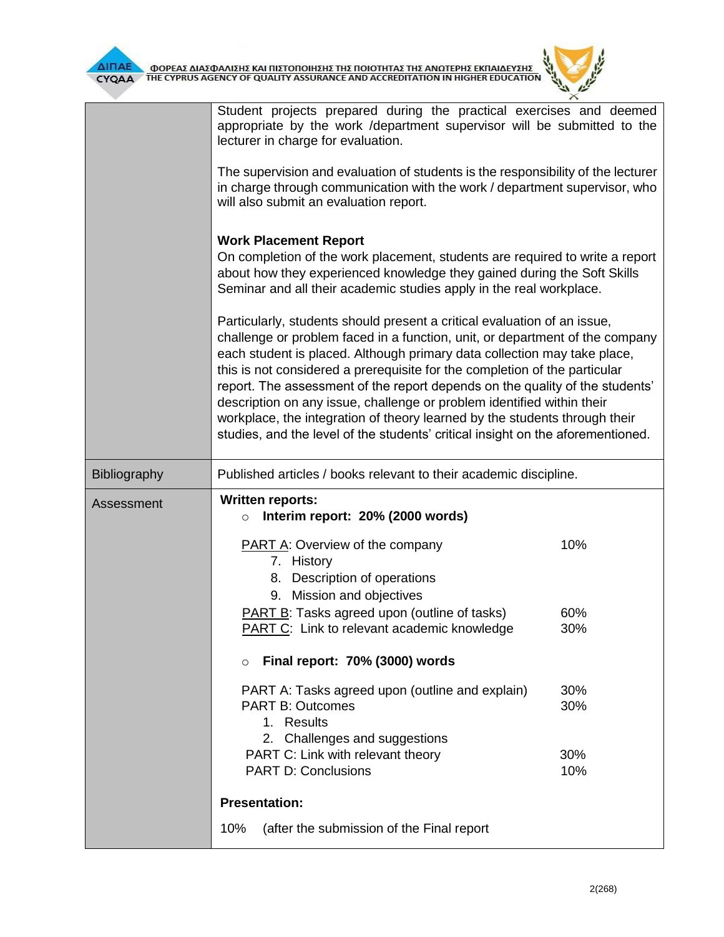

**AITIAE OPEAE AIAZOANIZHE KAI TIIZTOTIOIHEHE THE TOIOTHTAE THE ANOTEPHE EKTIAIAEYEHE** 

|                     | Student projects prepared during the practical exercises and deemed<br>appropriate by the work /department supervisor will be submitted to the<br>lecturer in charge for evaluation.<br>The supervision and evaluation of students is the responsibility of the lecturer<br>in charge through communication with the work / department supervisor, who<br>will also submit an evaluation report.                                                                                                                                                                                                                                              |                   |  |  |
|---------------------|-----------------------------------------------------------------------------------------------------------------------------------------------------------------------------------------------------------------------------------------------------------------------------------------------------------------------------------------------------------------------------------------------------------------------------------------------------------------------------------------------------------------------------------------------------------------------------------------------------------------------------------------------|-------------------|--|--|
|                     | <b>Work Placement Report</b><br>On completion of the work placement, students are required to write a report<br>about how they experienced knowledge they gained during the Soft Skills<br>Seminar and all their academic studies apply in the real workplace.                                                                                                                                                                                                                                                                                                                                                                                |                   |  |  |
|                     | Particularly, students should present a critical evaluation of an issue,<br>challenge or problem faced in a function, unit, or department of the company<br>each student is placed. Although primary data collection may take place,<br>this is not considered a prerequisite for the completion of the particular<br>report. The assessment of the report depends on the quality of the students'<br>description on any issue, challenge or problem identified within their<br>workplace, the integration of theory learned by the students through their<br>studies, and the level of the students' critical insight on the aforementioned. |                   |  |  |
| <b>Bibliography</b> | Published articles / books relevant to their academic discipline.                                                                                                                                                                                                                                                                                                                                                                                                                                                                                                                                                                             |                   |  |  |
| Assessment          | <b>Written reports:</b><br>Interim report: 20% (2000 words)<br>$\circ$                                                                                                                                                                                                                                                                                                                                                                                                                                                                                                                                                                        |                   |  |  |
|                     | <b>PART A: Overview of the company</b><br>7. History<br>Description of operations<br>8.<br>9. Mission and objectives                                                                                                                                                                                                                                                                                                                                                                                                                                                                                                                          | 10%               |  |  |
|                     | PART B: Tasks agreed upon (outline of tasks)<br><b>PART C:</b> Link to relevant academic knowledge                                                                                                                                                                                                                                                                                                                                                                                                                                                                                                                                            | 60%<br>30%        |  |  |
|                     | Final report: 70% (3000) words<br>$\circ$                                                                                                                                                                                                                                                                                                                                                                                                                                                                                                                                                                                                     |                   |  |  |
|                     | PART A: Tasks agreed upon (outline and explain)<br><b>PART B: Outcomes</b><br>1. Results<br>2. Challenges and suggestions<br>PART C: Link with relevant theory                                                                                                                                                                                                                                                                                                                                                                                                                                                                                | 30%<br>30%<br>30% |  |  |
|                     | <b>PART D: Conclusions</b>                                                                                                                                                                                                                                                                                                                                                                                                                                                                                                                                                                                                                    | 10%               |  |  |
|                     | <b>Presentation:</b>                                                                                                                                                                                                                                                                                                                                                                                                                                                                                                                                                                                                                          |                   |  |  |
|                     | (after the submission of the Final report<br>10%                                                                                                                                                                                                                                                                                                                                                                                                                                                                                                                                                                                              |                   |  |  |

 $\theta$